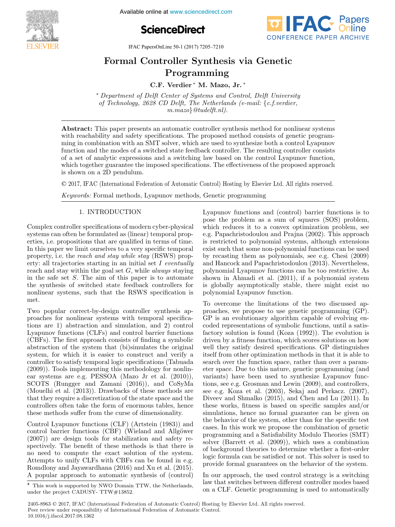

**The International Federation of Available online at www.sciencedirect.com** 





IFAC PapersOnLine 50-1 (2017) 7205–7210 Fract approximate  $50-1 (2017) 7205-7210$ 

# Formal Controller Synthesis via Genetic Formal Controller Synthesis via Genetic Programming Programming Programming Formal Controller Synthesis via Genetic

 $\overline{R}$  M. M. Mazo,  $\overline{R}$  M. Mazo, J. M.  $\overline{R}$ C.F. Verdier ∗ M. Mazo, Jr. ∗ C.F. Verdier ∗ M. Mazo, Jr. ∗ C.F. Verdier ∗ M. Mazo, Jr. ∗

of Technology, 2628 CD Delft, The Netherlands (e-mail: {c,f,verdier,  $m.maxo$ } @tudelft.nl).  $\frac{1}{2}$  called  $\frac{1}{2}$ . ∗ Department of Delft Center of Systems and Control, Delft University

m.mazo}@tudelft.nl).

m.mazo}@tudelft.nl). with reachability and safety specifications. The proposed method consists of genetic programming in combination with an SMT solver, which are used to synthesize both a control Lyapunov function and the modes of a switched state feedback controller. The resulting controller consists of a set of analytic expressions and a switching law based on the control Lyapunov function, which together guarantee the imposed specifications. The effectiveness of the proposed approach which together guarantee the imposed specifications. The effectiveness of the proposed approach is shown on a 2D pendulum. is shown on a  $2D$  pendulum. Abstract: This paper presents an automatic controller synthesis method for nonlinear systems

© 2017, IFAC (International Federation of Automatic Control) Hosting by Elsevier Ltd. All rights reserved.  $\mathbf{F} = \mathbf{F} \times \mathbf{F}$  methods, Lyapunov methods, Lyapunov methods, Genetic programming

Keywords: Formal methods, Lyapunov methods, Genetic programming Keywords: Formal methods, Lyapunov methods, Genetic programming Keywords: Formal methods, Lyapunov methods, Genetic programming

# 1. INTRODUCTION 1. INTRODUCTION 1. INTRODUCTION 1. INTRODUCTION

examplex controller specifications of modern cyber-physical<br>systems can often be formulated as (linear) temporal propexpectively commuted as (included) temporal properties, i.e. propositions that are qualified in terms of time. In this paper we limit ourselves to a very specific temporal in this paper we nume ourserves to a very specific temporary property, i.e. the *reach and stay while stay* (RSWS) propproperty; i.e. the reach and stay and stay (KSWS) property: all trajectories starting in an initial set I eventually erty. an trajectories starting in an initial set  $T$  eventually<br>reach and stay within the goal set  $G$ , while *always* staying reach and stay within the goal set  $G$ , while *atalogs* staying<br>in the safe set  $S$ . The aim of this paper is to automate In the safe set  $S$ . The aim of this paper is to automate the synthesis of switched state feedback controllers for the synthesis of switched state feedback controllers for nonlinear systems, such that the RSWS specification is met. met. met. Complex controller specifications of modern cyber-physical Complex controller specifications of modern cyber-physical Complex controller specifications of modern cyber-physical

Two popular correct-by-design controller synthesis ap-<br>proaches for nonlinear systems with temporal specificaproaches for nonlinear systems with temporal specifica-<br>tions are 1) abstraction and simulation, and 2) control Lyapunov functions (CLFs) and control barrier functions CBFs). The first approach consists of finding a symbolic (CDFs). The first approach consists of inding a symbolic<br>abstraction of the system that (bi)simulates the original system, for which it is easier to construct and verify a controller to satisfy temporal logic specifications (Tabuada<br>controller to satisfy temporal logic specifications (Tabuada (2009)). Tools implementing this methodology for nonlin- $(2009)$ . Tools implementing this includiology for nonlinear systems are e.g. PESSOA (Mazo Jr et al.  $(2010)$ ), ear systems are e.g. PESSOA (Mazo Jr et al. (2010)),<br>SCOTS (Rungger and Zamani (2016)), and CoSyMa  $SCO15$  (Rungger and Zamani (2010)), and CoSyMa<br>(Mouelhi et al. (2013)). Drawbacks of these methods are  $(100)$  at that they require a discretization of the state space and the controllers often take the form of enormous tables, hence controllers often take the form of enormous tables, hence these methods suffer from the curse of dimensionality. these methods suffer from the curse of dimensionality. these methods suffer from the curse of dimensionality. Two popular correct-by-design controller synthesis ap-Two popular correct-by-design controller synthesis ap-Two popular correct-by-design controller synthesis ap-

 $\chi$  control Lyapunov functions  $\chi$  (CLF) (Artstein (1983)) and control barrier functions (CBF) (Wieland and Allgöwer  $(2007)$ ) are design tools for stabilization and safety re- $(2007)$  are design tools for stabilization and safety re-<br>spectively. The benefit of these methods is that there is spectively. The benefit of these methods is that there is<br>no need to compute the exact solution of the system. no need to compute the exact solution of the system.<br>Attempts to unify CLFs with CBFs can be found in e.g. Attempts to unify CLFs with CDFs can be found in e.g.<br>Romdlony and Jayawardhana (2016) and Xu et al. (2015). Romdony and Jayawardhana (2010) and Xu et al. (2016). A popular approach to automatic synthesis of (control) Control Lyapunov functions (CLF) (Artstein (1983)) and Control Lyapunov functions (CLF) (Artstein (1983)) and Control Lyapunov functions (CLF) (Artstein (1983)) and Lyapunov functions and (control) barrier functions is to pose the problem as a sum of squares (SOS) problem, pose the problem as a sum of squares (SOS) problem,<br>which reduces it to a convex optimization problem, see which reduces it to a convex optimization problem, see<br>e.g. Papachristodoulou and Prajna (2002). This approach e.g. I apacinistodounou and I rajina (2002). This approach<br>is restricted to polynomial systems, although extensions exists uch that some non-polynomial functions can be used by recasting them as polynomials, see e.g. Chesi (2009) by recasting them as polynomials, see e.g. Chesi  $(2009)$ <br>and Hancock and Papachristodoulou  $(2013)$ . Nevertheless, and Hancock and Papachristodoulou (2013). Nevertheless, polynomial Lyapunov functions can be too restrictive. As polynomial Lyapunov functions can be too restrictive. As<br>shown in Ahmadi et al. (2011), if a polynomial system shown in Ahmadi et al. (2011), if a polynomial system is globally asymptotically stable, there might exist no is globally asymptotically stable, there might exist no polynomial Lyapunov function. is globally asymptotically stable, there might exist no polynomial Lyapunov function. polynomial Lyapunov function. polynomial Lyapunov function. Lyapunov functions and (control) barrier functions is to Lyapunov functions and (control) barrier functions is to Lyapunov functions and (control) barrier functions is to  $T_{\rm F}$  overcome the limitations of the two discusses of the two discusses  $T_{\rm F}$ 

To overcome the immeations of the two discussed ap-<br>proaches, we propose to use genetic programming (GP). GP is an evolutionary algorithm capable of evolving en-<br>GP is an evolutionary algorithm capable of evolving enor is an evolutionary algorithm capable of evolving en-<br>coded representations of symbolic functions, until a satiscoded representations of symbolic functions, until a satisfactory solution is found (Koza (1992)). The evolution is driven by a fitness function, which scores solutions on how<br>driven by a fitness function, which scores solutions on how while they satisfy desired specifications. GP distinguishes went they satisfy desired specifications. G1 distinguishes itself from other optimization methods in that it is able to search over the function space, rather than over a parameter space. Due to this nature, genetic programming (and eter space. Due to this nature, genetic programming (and variants) have been used to synthesize Lyapunov funcvariants) have been used to symmesize Lyapunov runc-<br>tions, see e.g. Grosman and Lewin (2009), and controllers, tions, see e.g. Grosman and Lewin  $(2009)$ , and controllers, see e.g. Koza et al. (2003), Sekaj and Perkacz. (2007), see e.g. Koza et al. (2003), Sekaj and Perkacz. (2007), Diveev and Shmalko (2015), and Chen and Lu (2011). In see e.g. Koza et al. (2003), Sekaj and Perkacz. (2007), Diveev and Shmalko (2015), and Chen and Eu (2011). In these works, fitness is based on specific samples and/or simulations, hence no formal guarantee can be given on<br>simulations, hence no formal guarantee can be given on the behavior of the system, other than for the specific test cases. In this work we propose the combination of genetic cases. In this work we propose the combination of genetic programming and a Satisfiability Modulo Theories (SMT) solver (Barrett et al. (2009)), which uses a combination of background theories to determine whether a first-order logic formula can be satisfied or not. This solver is used to logic formula can be satisfied or not. This solver is used to provide formal guarantees on the behavior of the system. provide formal guarantees on the behavior of the system. To overcome the limitations of the two discussed ap-Diveev and Shmalko  $(2015)$ , and Chen and Lu  $(2011)$ . In provide formal guarantees on the behavior of the system.

In our approach, the used control strategy is a switching<br>law that switches between different controller modes based law that switches between different controller modes based<br>on a CLE Constitution programming is used to automatically on a CLF. Genetic programming is used to automatically on a CLF. Genetic programming is used to automatically on a CLF. Genetic programming is used to automatically In our approach, the used control strategy is a switching

 $\overline{X}$  This work is supported by NWO Domain TTW, the Netherlands, under the project CADUSY- TTW#13852. under the project CADUSY- TTW#13852. under the project CADUSY- TTW#13852.

<sup>2405-8963 © 2017,</sup> IFAC (International Federation of Automatic Control) Hosting by Elsevier Ltd. All rights reserved. **Peer review under responsibility of International Federation of Automatic Control.**<br> **Peer review under responsibility of International Federation of Automatic Control.** 10.1016/j.ifacol.2017.08.1362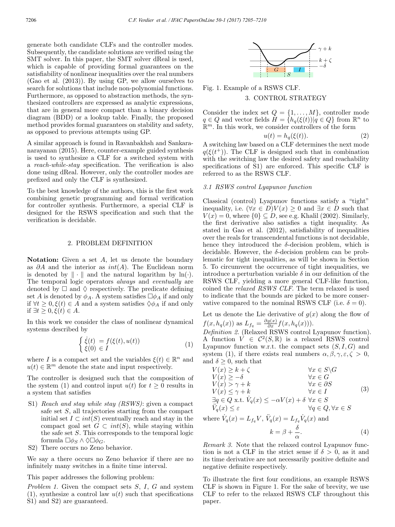generate both candidate CLFs and the controller modes. Subsequently, the candidate solutions are verified using the SMT solver. In this paper, the SMT solver dReal is used, which is capable of providing formal guarantees on the satisfiability of nonlinear inequalities over the real numbers (Gao et al. (2013)). By using GP, we allow ourselves to search for solutions that include non-polynomial functions. Furthermore, as opposed to abstraction methods, the synthesized controllers are expressed as analytic expressions, that are in general more compact than a binary decision diagram (BDD) or a lookup table. Finally, the proposed method provides formal guarantees on stability and safety, as opposed to previous attempts using GP.

A similar approach is found in Ravanbakhsh and Sankaranarayanan (2015). Here, counter-example guided synthesis is used to synthesize a CLF for a switched system with a reach-while-stay specification. The verification is also done using dReal. However, only the controller modes are prefixed and only the CLF is synthesized.

To the best knowledge of the authors, this is the first work combining genetic programming and formal verification for controller synthesis. Furthermore, a special CLF is designed for the RSWS specification and such that the verification is decidable.

# 2. PROBLEM DEFINITION

Notation: Given a set A, let us denote the boundary as  $\partial A$  and the interior as  $int(A)$ . The Euclidean norm is denoted by  $\|\cdot\|$  and the natural logarithm by  $\ln(\cdot)$ . The temporal logic operators always and eventually are denoted by  $\Box$  and  $\Diamond$  respectively. The predicate defining set A is denoted by  $\phi_A$ . A system satisfies  $\Box \phi_A$  if and only if  $\forall t \geq 0, \xi(t) \in A$  and a system satisfies  $\Diamond \phi_A$  if and only if  $\exists t \geq 0, \xi(t) \in A$ .

In this work we consider the class of nonlinear dynamical systems described by

$$
\begin{cases} \dot{\xi}(t) = f(\xi(t), u(t)) \\ \xi(0) \in I \end{cases}
$$
 (1)

where I is a compact set and the variables  $\xi(t) \in \mathbb{R}^n$  and  $u(t) \in \mathbb{R}^m$  denote the state and input respectively.

The controller is designed such that the composition of the system (1) and control input  $u(t)$  for  $t \geq 0$  results in a system that satisfies

- S1) Reach and stay while stay (RSWS): given a compact safe set  $S$ , all trajectories starting from the compact initial set  $I \subset int(S)$  eventually reach and stay in the compact goal set  $G \subset int(S)$ , while staying within the safe set S. This corresponds to the temporal logic formula  $\Box \phi_S \land \Diamond \Box \phi_G$ .
- S2) There occurs no Zeno behavior.

We say a there occurs no Zeno behavior if there are no infinitely many switches in a finite time interval.

This paper addresses the following problem:

Problem 1. Given the compact sets S, I, G and system  $(1)$ , synthesize a control law  $u(t)$  such that specifications S1) and S2) are guaranteed.



Fig. 1. Example of a RSWS CLF.

3. CONTROL STRATEGY

Consider the index set  $Q = \{1, \ldots, M\}$ , controller mode  $q \in Q$  and vector fields  $H = \{h_q(\xi(t)) | q \in Q\}$  from  $\mathbb{R}^n$  to  $\mathbb{R}^m$ . In this work, we consider controllers of the form

$$
u(t) = h_q(\xi(t)).
$$
\n(2)

A switching law based on a CLF determines the next mode  $q(\xi(t^+))$ . The CLF is designed such that in combination with the switching law the desired safety and reachability specifications of S1) are enforced. This specific CLF is referred to as the RSWS CLF.

# 3.1 RSWS control Lyapunov function

Classical (control) Lyapunov functions satisfy a "tight" inequality, i.e.  $(\forall x \in D)V(x) \geq 0$  and  $\exists x \in D$  such that  $V(x) = 0$ , where  $\{0\} \subseteq D$ , see e.g. Khalil (2002). Similarly, the first derivative also satisfies a tight inequality. As stated in Gao et al. (2012), satisfiability of inequalities over the reals for transcendental functions is not decidable, hence they introduced the  $\delta$ -decision problem, which is decidable. However, the δ-decision problem can be problematic for tight inequalities, as will be shown in Section 5. To circumvent the occurrence of tight inequalities, we introduce a perturbation variable  $\delta$  in our definition of the RSWS CLF, yielding a more general CLF-like function, coined the relaxed RSWS CLF. The term relaxed is used to indicate that the bounds are picked to be more conservative compared to the nominal RSWS CLF (i.e.  $\delta = 0$ ).

Let us denote the Lie derivative of  $g(x)$  along the flow of  $f(x, h_q(x))$  as  $L_{f_q} = \frac{\partial g(x)}{\partial x} f(x, h_q(x))$ .

Definition 2. (Relaxed RSWS control Lyapunov function). A function  $V \in C^2(S, \mathbb{R})$  is a relaxed RSWS control Lyapunov function w.r.t. the compact sets  $(S, I, G)$  and system (1), if there exists real numbers  $\alpha, \beta, \gamma, \varepsilon, \zeta > 0$ , and  $\delta \geq 0$ , such that

$$
V(x) \ge k + \zeta \qquad \forall x \in S \backslash G
$$
  
\n
$$
V(x) \ge -\delta \qquad \forall x \in G
$$
  
\n
$$
V(x) > \gamma + k \qquad \forall x \in \partial S
$$
  
\n
$$
V(x) \le \gamma + k \qquad \forall x \in I
$$
  
\n
$$
\exists q \in Q \text{ x.t. } V_q(x) \le -\alpha V(x) + \delta \ \forall x \in S
$$
  
\n
$$
\overline{V}_q(x) \le \varepsilon \qquad \forall q \in Q, \forall x \in S
$$
  
\n(3)

where  $\dot{V}_q(x) = L_{f_q} V, \, \dot{V}_q(x) = L_{f_q} \dot{V}_q(x)$  and δ

$$
k = \beta + \frac{\delta}{\alpha}.\tag{4}
$$

Remark 3. Note that the relaxed control Lyapunov function is not a CLF in the strict sense if  $\delta > 0$ , as it and its time derivative are not necessarily positive definite and negative definite respectively.

To illustrate the first four conditions, an example RSWS CLF is shown in Figure 1. For the sake of brevity, we use CLF to refer to the relaxed RSWS CLF throughout this paper.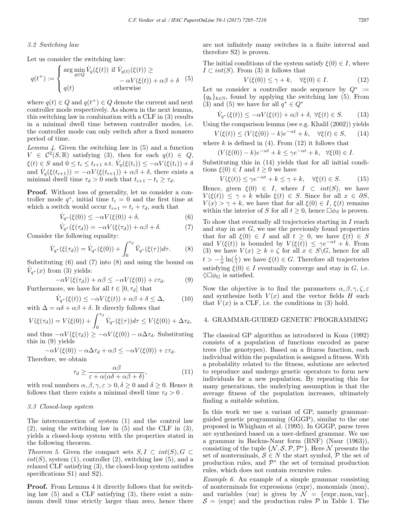#### 3.2 Switching law

Let us consider the switching law:

$$
q(t^+) := \begin{cases} \arg\min_{q \in Q} \dot{V}_q(\xi(t)) & \text{if } \dot{V}_{q(t)}(\xi(t)) \geq \\ -\alpha V(\xi(t)) + \alpha \beta + \delta \\ q(t) & \text{otherwise} \end{cases} (5)
$$

where  $q(t) \in Q$  and  $q(t^+) \in Q$  denote the current and next controller mode respectively. As shown in the next lemma, this switching law in combination with a CLF in (3) results in a minimal dwell time between controller modes, i.e. the controller mode can only switch after a fixed nonzero period of time.

Lemma  $\mu$ . Given the switching law in (5) and a function  $V \in C^2(S,\mathbb{R})$  satisfying (3), then for each  $q(t) \in Q$ ,  $\xi(t) \in S$  and  $0 \le t_i \le t_{i+1}$  s.t.  $V_q(\xi(t_i)) \le -\alpha V(\xi(t_i)) + \delta$ and  $V_q(\xi(t_{i+1})) = -\alpha V(\xi(t_{i+1})) + \alpha \beta + \delta$ , there exists a minimal dwell time  $\tau_d > 0$  such that  $t_{i+1} - t_i \geq \tau_d$ .

Proof. Without loss of generality, let us consider a controller mode  $q^*$ , initial time  $t_i = 0$  and the first time at which a switch would occur  $t_{i+1} = t_i + \tau_d$ , such that

$$
\dot{V}_{q^*}(\xi(0)) \le -\alpha V(\xi(0)) + \delta,\tag{6}
$$

$$
\dot{V}_{q^*}(\xi(\tau_d)) = -\alpha V(\xi(\tau_d)) + \alpha \beta + \delta. \tag{7}
$$

Consider the following equality:

$$
\dot{V}_{q^*}(\xi(\tau_d)) = \dot{V}_{q^*}(\xi(0)) + \int_0^{\tau_d} \ddot{V}_{q^*}(\xi(\tau))d\tau.
$$
 (8)

Substituting (6) and (7) into (8) and using the bound on  $V_{a^*}(x)$  from (3) yields:

$$
-\alpha V(\xi(\tau_d)) + \alpha \beta \le -\alpha V(\xi(0)) + \varepsilon \tau_d. \tag{9}
$$

Furthermore, we have for all  $t \in [0, \tau_d]$  that

$$
\dot{V}_{q^*}(\xi(t)) \le -\alpha V(\xi(t)) + \alpha \beta + \delta \le \Delta, \qquad (10)
$$

with  $\Delta = \alpha \delta + \alpha \beta + \delta$ . It directly follows that

$$
V(\xi(\tau_d)) = V(\xi(0)) + \int_0^{\tau_d} \dot{V}_{q^*}(\xi(\tau)) d\tau \le V(\xi(0)) + \Delta \tau_d,
$$
  
and thus  $\alpha V(\xi(\tau)) > \alpha V(\xi(0)) \alpha \Delta \tau$ . Substituting

and thus  $-\alpha V(\xi(\tau_d)) \geq -\alpha V(\xi(0)) - \alpha \Delta \tau_d$ . Substituting this in (9) yields

$$
-\alpha V(\xi(0)) - \alpha \Delta \tau_d + \alpha \beta \leq -\alpha V(\xi(0)) + \varepsilon \tau_d.
$$

Therefore, we obtain

$$
\tau_d \ge \frac{\alpha \beta}{\varepsilon + \alpha(\alpha \delta + \alpha \beta + \delta)},\tag{11}
$$

with real numbers  $\alpha, \beta, \gamma, \varepsilon > 0, \delta \ge 0$  and  $\delta \ge 0$ . Hence it follows that there exists a minimal dwell time  $\tau_d > 0$ .

# 3.3 Closed-loop system

The interconnection of system (1) and the control law (2), using the switching law in (5) and the CLF in (3), yields a closed-loop system with the properties stated in the following theorem.

Theorem 5. Given the compact sets  $S, I \subset int(S), G \subset$  $int(S)$ , system (1), controller (2), switching law (5), and a relaxed CLF satisfying (3), the closed-loop system satisfies specifications S1) and S2).

Proof. From Lemma 4 it directly follows that for switching law (5) and a CLF satisfying (3), there exist a minimum dwell time strictly larger than zero, hence there are not infinitely many switches in a finite interval and therefore S2) is proven.

The initial conditions of the system satisfy  $\xi(0) \in I$ , where  $I \subset int(S)$ . From (3) it follows that

$$
V(\xi(0)) \le \gamma + k, \quad \forall \xi(0) \in I. \tag{12}
$$

Let us consider a controller mode sequence by  $Q^* :=$  ${q_k}_{k\in\mathbb{N}}$ , found by applying the switching law (5). From (3) and (5) we have for all  $q^* \in Q^*$ 

$$
\dot{V}_{q^*}(\xi(t)) \le -\alpha V(\xi(t)) + \alpha \beta + \delta, \ \forall \xi(t) \in S. \tag{13}
$$

Using the comparison lemma (see e.g. Khalil (2002)) yields  $V(\xi(t)) < (V(\xi(0))) = k e^{-\alpha t} + k \quad \forall \xi(t) \in S$  (14)

$$
V(\xi(t)) \le (V(\xi(0)) - \kappa)e^{-\frac{1}{2}+\kappa}, \quad \forall \xi(t) \in \mathcal{D}, \quad (14)
$$
  
zero *k* is defined in (4). From (19) it follows that

where k is defined in  $(4)$ . From  $(12)$  it follows that  $V(T^{r}(t)(\alpha)) = 1 = \alpha t + 1 \leq -\alpha t + 1$   $V(t)(\alpha)$ 

$$
(V(\xi(0))-k)e^{-\alpha t}+k \leq \gamma e^{-\alpha t}+k, \quad \forall \xi(0) \in I.
$$

Substituting this in (14) yields that for all initial conditions  $\xi(0) \in I$  and  $t \geq 0$  we have

$$
V(\xi(t)) \le \gamma e^{-\alpha t} + k \le \gamma + k, \quad \forall \xi(t) \in S. \tag{15}
$$

Hence, given  $\xi(0) \in I$ , where  $I \subset int(S)$ , we have  $V(\xi(t)) \leq \gamma + k$  while  $\xi(t) \in S$ . Since for all  $x \in \partial S$ ,  $V(x) > \gamma + k$ , we have that for all  $\xi(0) \in I$ ,  $\xi(t)$  remains within the interior of S for all  $t \geq 0$ , hence  $\Box \phi_S$  is proven.

To show that eventually all trajectories starting in I reach and stay in set  $G$ , we use the previously found properties that for all  $\xi(0) \in I$  and all  $t \geq 0$ , we have  $\xi(t) \in S$ and  $V(\xi(t))$  is bounded by  $V(\xi(t)) \leq \gamma e^{-\alpha t} + k$ . From (3) we have  $V(x) \geq k + \zeta$  for all  $x \in S \backslash G$ , hence for all  $t > -\frac{1}{\alpha} \ln(\frac{\zeta}{\gamma})$  we have  $\xi(t) \in G$ . Therefore all trajectories satisfying  $\xi(0) \in I$  eventually converge and stay in G, i.e.  $\Diamond \Box \phi_G$  is satisfied.

Now the objective is to find the parameters  $\alpha, \beta, \gamma, \zeta, \varepsilon$ and synthesize both  $V(x)$  and the vector fields H such that  $V(x)$  is a CLF, i.e. the conditions in (3) hold.

#### 4. GRAMMAR-GUIDED GENETIC PROGRAMMING

The classical GP algorithm as introduced in Koza (1992) consists of a population of functions encoded as parse trees (the genotypes). Based on a fitness function, each individual within the population is assigned a fitness. With a probability related to the fitness, solutions are selected to reproduce and undergo genetic operators to form new individuals for a new population. By repeating this for many generations, the underlying assumption is that the average fitness of the population increases, ultimately finding a suitable solution.

In this work we use a variant of GP, namely grammarguided genetic programming (GGGP), similar to the one proposed in Whigham et al. (1995). In GGGP, parse trees are synthesized based on a user-defined grammar. We use a grammar in Backus-Naur form (BNF) (Naur (1963)), consisting of the tuple  $\{N, S, P, P^*\}$ . Here N presents the set of nonterminals,  $S \in N$  the start symbol,  $P$  the set of production rules, and  $\mathcal{P}^*$  the set of terminal production rules, which does not contain recursive rules.

Example 6. An example of a simple grammar consisting of nonterminals for expressions  $\langle \text{expr} \rangle$ , monomials  $\langle \text{mon} \rangle$ , and variables  $\langle \text{var} \rangle$  is given by  $\mathcal{N} = {\text{expr}, \text{mon}, \text{var}}$ ,  $S = \langle \text{expr} \rangle$  and the production rules  $P$  in Table 1. The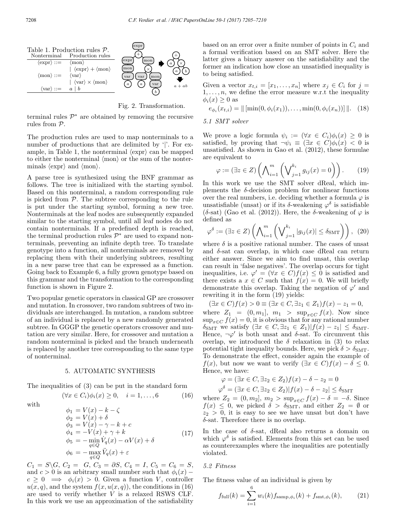

Fig. 2. Transformation.

terminal rules  $\mathcal{P}^*$  are obtained by removing the recursive rules from P.

The production rules are used to map nonterminals to a number of productions that are delimited by '|'. For example, in Table 1, the nonterminal  $\langle \exp \rangle$  can be mapped to either the nonterminal  $\langle \text{mon} \rangle$  or the sum of the nonterminals  $\langle \text{expr} \rangle$  and  $\langle \text{mon} \rangle$ .

A parse tree is synthesized using the BNF grammar as follows. The tree is initialized with the starting symbol. Based on this nonterminal, a random corresponding rule is picked from  $P$ . The subtree corresponding to the rule is put under the starting symbol, forming a new tree. Nonterminals at the leaf nodes are subsequently expanded similar to the starting symbol, until all leaf nodes do not contain nonterminals. If a predefined depth is reached, the terminal production rules  $\mathcal{P}^*$  are used to expand nonterminals, preventing an infinite depth tree. To translate genotype into a function, all nonterminals are removed by replacing them with their underlying subtrees, resulting in a new parse tree that can be expressed as a function. Going back to Example 6, a fully grown genotype based on this grammar and the transformation to the corresponding function is shown in Figure 2.

Two popular genetic operators in classical GP are crossover and mutation. In crossover, two random subtrees of two individuals are interchanged. In mutation, a random subtree of an individual is replaced by a new randomly generated subtree. In GGGP the genetic operators crossover and mutation are very similar. Here, for crossover and mutation a random nonterminal is picked and the branch underneath is replaced by another tree corresponding to the same type of nonterminal.

# 5. AUTOMATIC SYNTHESIS

The inequalities of (3) can be put in the standard form

$$
(\forall x \in C_i)\phi_i(x) \ge 0, \quad i = 1, \dots, 6 \tag{16}
$$

with

$$
\begin{aligned}\n\phi_1 &= V(x) - k - \zeta \\
\phi_2 &= V(x) + \delta \\
\phi_3 &= V(x) - \gamma - k + c \\
\phi_4 &= -V(x) + \gamma + k \\
\phi_5 &= -\min_{q \in Q} V_q(x) - \alpha V(x) + \delta \\
\phi_6 &= -\max_{q \in Q} V_q(x) + \varepsilon\n\end{aligned} \tag{17}
$$

 $C_1 = S \backslash G$ ,  $C_2 = G$ ,  $C_3 = \partial S$ ,  $C_4 = I$ ,  $C_5 = C_6 = S$ , and  $c > 0$  is an arbitrary small number such that  $\phi_i(x)$  –  $c \geq 0 \implies \phi_i(x) > 0$ . Given a function V, controller  $u(x, q)$ , and the system  $f(x, u(x, q))$ , the conditions in (16) are used to verify whether  $V$  is a relaxed RSWS CLF. In this work we use an approximation of the satisfiability based on an error over a finite number of points in  $C_i$  and a formal verification based on an SMT solver. Here the latter gives a binary answer on the satisfiability and the former an indication how close an unsatisfied inequality is to being satisfied.

Given a vector  $x_{t,i} = [x_1, \ldots, x_n]$  where  $x_j \in C_i$  for  $j =$  $1, \ldots, n$ , we define the error measure w.r.t the inequality  $\phi_i(x) \geq 0$  as

$$
e_{\phi_i}(x_{t,i}) = ||\left[\min(0, \phi_i(x_1)), \dots, \min(0, \phi_i(x_n))\right]||. \quad (18)
$$

#### 5.1 SMT solver

We prove a logic formula  $\psi_i := (\forall x \in C_i) \phi_i(x) \geq 0$  is satisfied, by proving that  $\neg \psi_i \equiv (\exists x \in C) \phi_i(x) < 0$  is unsatisfied. As shown in Gao et al. (2012), these formulae are equivalent to

$$
\varphi := (\exists z \in Z) \left( \bigwedge_{i=1}^{m} \left( \bigvee_{j=1}^{k_i} g_{ij}(x) = 0 \right) \right). \tag{19}
$$

In this work we use the SMT solver dReal, which implements the  $\delta$ -decision problem for nonlinear functions over the real numbers, i.e. deciding whether a formula  $\varphi$  is unsatisfiable (unsat) or if its  $\delta$ -weakening  $\varphi^{\delta}$  is satisfiable (δ-sat) (Gao et al. (2012)). Here, the δ-weakening of  $\varphi$  is defined as

$$
\varphi^{\delta} := (\exists z \in Z) \left( \bigwedge_{i=1}^{m} \left( \bigvee_{j=1}^{k_i} |g_{ij}(x)| \le \delta_{\text{SMT}} \right) \right), \tag{20}
$$

where  $\delta$  is a positive rational number. The cases of unsat and  $\delta$ -sat can overlap, in which case dReal can return either answer. Since we aim to find unsat, this overlap can result in 'false negatives'. The overlap occurs for tight inequalities, i.e.  $\varphi' = (\forall x \in C) f(x) \leq 0$  is satisfied and there exists a  $x \in C$  such that  $f(x) = 0$ . We will briefly demonstrate this overlap. Taking the negation of  $\varphi'$  and rewriting it in the form (19) yields:

 $(\exists x \in C) f(x) > 0 \equiv (\exists x \in C, \exists z_1 \in Z_1) f(x) - z_1 = 0,$ where  $Z_1 = (0, m_1], m_1 > \sup_{x \in C} f(x)$ . Now since  $\sup_{x \in C} f(x) = 0$ , it is obvious that for any rational number  $\delta_{\text{SMT}}$  we satisfy  $(\exists x \in C, \exists z_1 \in Z_1)|f(x) - z_1| \leq \delta_{\text{SMT}}$ . Hence,  $\neg \varphi'$  is both unsat and  $\delta$ -sat. To circumvent this overlap, we introduced the  $\delta$  relaxation in (3) to relax potential tight inequality bounds. Here, we pick  $\delta > \delta_{\text{SMT}}$ . To demonstrate the effect, consider again the example of  $f(x)$ , but now we want to verify  $(\exists x \in C) f(x) - \delta \leq 0$ . Hence, we have:

$$
\varphi = (\exists x \in C, \exists z_2 \in Z_2) f(x) - \delta - z_2 = 0
$$

$$
\varphi^{\delta} = (\exists x \in C, \exists z_2 \in Z_2) | f(x) - \delta - z_2| \le \delta_{\text{SMT}}
$$
  
where  $Z_2 = (0, m_2], m_2 > \sup_{x \in C} f(x) - \delta = -\delta$ . Since  $f(x) \le 0$ , we picked  $\delta > \delta_{\text{SMT}}$ , and either  $Z_2 = \emptyset$  or  $z_2 > 0$ , it is easy to see we have unsat but don't have  $\delta$ -sat. Therefore there is no overlap.

In the case of  $\delta$ -sat, dReal also returns a domain on which  $\varphi^{\delta}$  is satisfied. Elements from this set can be used as counterexamples where the inequalities are potentially violated.

### 5.2 Fitness

The fitness value of an individual is given by

$$
f_{\text{full}}(k) = \sum_{i=1}^{6} w_i(k) f_{\text{samp}, \phi_i}(k) + f_{\text{smt}, \phi_i}(k), \quad (21)
$$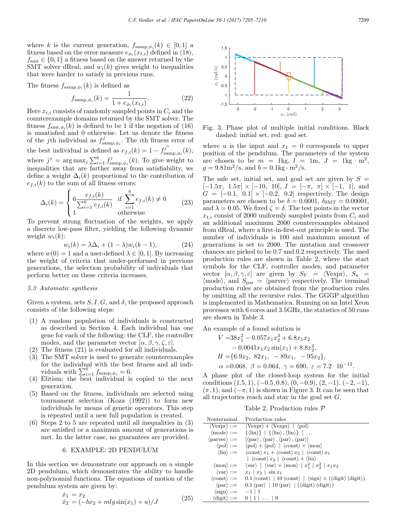where k is the current generation,  $f_{\text{samp},\phi_i}(k) \in [0,1]$  a fitness based on the error measure  $e_{\phi_i}(x_{t,i})$  defined in (18),  $f_{\rm smt} \in \{0,1\}$  a fitness based on the answer returned by the SMT solver dReal, and  $w<sub>i</sub>(k)$  gives weight to inequalities that were harder to satisfy in previous runs.

The fitness  $f_{\text{samp},\phi_i}(k)$  is defined as

$$
f_{\text{samp}, \phi_i}(k) = \frac{1}{1 + e_{\phi_i}(x_{t,i})}.
$$
 (22)

Here  $x_{t,i}$  consists of randomly sampled points in  $C_i$  and the counterexample domains returned by the SMT solver. The fitness  $f_{\text{smt},\phi_i}(k)$  is defined to be 1 if the negation of (16) is unsatisfied and 0 otherwise. Let us denote the fitness of the *j*th individual as  $f_{\text{samp},\phi_i}^j$ . The *i*th fitness error of the best individual is defined as  $e_{f,i}(k) = 1 - f_{\text{samp},\phi_i}^{j^*}(k)$ , where  $j^* = \arg \max_j \sum_{i=1}^6 f_{\text{samp},\phi_i}^j(k)$ . To give weight to inequalities that are farther away from satisfiability, we define a weight  $\Delta_i(k)$  proportional to the contribution of  $e_{f,i}(k)$  to the sum of all fitness errors:

$$
\Delta_i(k) = \begin{cases}\n6 \frac{e_{f,i}(k)}{\sum_{i=1}^6 e_{f,i}(k)} & \text{if } \sum_{i=1}^6 e_{f,i}(k) \neq 0 \\
1 & \text{otherwise}\n\end{cases}
$$
\n(23)

To prevent strong fluctuation of the weights, we apply a discrete low-pass filter, yielding the following dynamic weight  $w_i(k)$ :

$$
w_i(k) = \lambda \Delta_i + (1 - \lambda) w_i(k - 1), \qquad (24)
$$

where  $w(0) = 1$  and a user-defined  $\lambda \in [0, 1]$ . By increasing the weight of criteria that under-performed in previous generations, the selection probability of individuals that perform better on these criteria increases.

# 5.3 Automatic synthesis

Given a system, sets  $S, I, G$ , and  $\delta$ , the proposed approach consists of the following steps:

- (1) A random population of individuals is constructed as described in Section 4. Each individual has one gene for each of the following: the CLF, the controller modes, and the parameter vector  $[\alpha, \beta, \gamma, \zeta, \varepsilon]$ .
- (2) The fitness (21) is evaluated for all individuals.
- (3) The SMT solver is used to generate counterexamples for the individual with the best fitness and all individuals with  $\sum_{i=1}^{6} f_{\text{samp},\phi_i} = 6.$
- (4) Elitism: the best individual is copied to the next generation.
- (5) Based on the fitness, individuals are selected using tournament selection (Koza (1992)) to form new individuals by means of genetic operators. This step is repeated until a new full population is created.
- (6) Steps 2 to 5 are repeated until all inequalities in (3) are satisfied or a maximum amount of generations is met. In the latter case, no guarantees are provided.

# 6. EXAMPLE: 2D PENDULUM

In this section we demonstrate our approach on a simple 2D pendulum, which demonstrates the ability to handle non-polynomial functions. The equations of motion of the pendulum system are given by:

$$
\begin{aligned} \dot{x}_1 &= x_2\\ \dot{x}_2 &= (-bx_2 + mlg\sin(x_1) + u)/J \end{aligned} \tag{25}
$$



Fig. 3. Phase plot of multiple initial conditions. Black dashed: initial set, red: goal set.

where u is the input and  $x_1 = 0$  corresponds to upper position of the pendulum. The parameters of the system are chosen to be  $m = 1$ kg,  $l = 1$ m,  $J = 1$ kg · m<sup>2</sup>,  $g = 9.81 \text{m}^2/\text{s}$ , and  $b = 0.1 \text{kg} \cdot \text{m}^2/\text{s}$ .

The safe set, initial set, and goal set are given by  $S =$  $[-1.5\pi, 1.5\pi] \times [-10, 10], I = [-\pi, \pi] \times [-1, 1],$  and  $G = [-0.1, 0.1] \times [-0.2, 0.2]$  respectively. The design parameters are chosen to be  $\delta = 0.0001$ ,  $\delta_{\text{SMT}} = 0.00001$ , and  $\lambda = 0.05$ . We fixed  $\zeta = \delta$ . The test points in the vector  $x_{t,i}$  consist of 2000 uniformly sampled points from  $C_i$  and an additional maximum 2000 counterexamples obtained from dReal, where a first-in-first-out principle is used. The number of individuals is 100 and maximum amount of generations is set to 2000. The mutation and crossover chances are picked to be 0.7 and 0.2 respectively. The used production rules are shown in Table 2, where the start symbols for the CLF, controller modes, and parameter vector  $[\alpha, \beta, \gamma, \varepsilon]$  are given by  $S_V = \langle \text{Vexpr} \rangle, S_u =$  $\langle$  mode), and  $S_{\text{par}} = \langle$  parvec) respectively. The terminal production rules are obtained from the production rules by omitting all the recursive rules. The GGGP algorithm is implemented in Mathematica. Running on an Intel Xeon processor with 6 cores and 3.5GHz, the statistics of 50 runs are shown in Table 3.

An example of a found solution is

$$
V = 38x_1^2 - 0.057x_1x_2^3 + 6.8x_1x_2
$$
  
- 0.0041x<sub>1</sub>x<sub>2</sub> sin(x<sub>1</sub>) + 8.8x<sub>2</sub><sup>2</sup>,  

$$
H = \{6.9x_2, 82x_1, -89x_1, -95x_2\},
$$
  

$$
\alpha = 0.068, \ \beta = 0.064, \ \gamma = 690, \ \varepsilon = 7.2 \cdot 10^{-12}.
$$

A phase plot of the closed-loop system for the initial conditions  $(1.5, 1), (-0.5, 0.8), (0, -0.9), (2, -1), (-2, -1),$  $(\pi, 1)$ , and  $(-\pi, 1)$  is shown in Figure 3. It can be seen that all trajectories reach and stay in the goal set G.

Table 2. Production rules P

| Nonterminal                         | Production rules                                                                                                                                                          |
|-------------------------------------|---------------------------------------------------------------------------------------------------------------------------------------------------------------------------|
| $\langle \text{Vexpr} \rangle ::=$  | $\langle \text{Vexpr} \rangle + \langle \text{Vexpr} \rangle$   $\langle \text{pol} \rangle$                                                                              |
| $\langle \text{mode} \rangle ::=$   | $\{\langle\text{lin}\rangle\}\mid \{\langle\text{lin}\rangle,\langle\text{lin}\rangle\}\mid \ldots$                                                                       |
| $\langle \text{parvec} \rangle ::=$ | $\vert \langle \text{par} \rangle$ , $\langle \text{par} \rangle$ , $\langle \text{par} \rangle$ , $\langle \text{par} \rangle$ ]                                         |
| $\langle \text{pol} \rangle ::=$    | $\langle \text{pol} \rangle + \langle \text{pol} \rangle$ $ \langle \text{const} \rangle \times \langle \text{mon} \rangle$                                               |
| $\langle \text{lin} \rangle ::=$    | $\langle \text{const} \rangle x_1 + \langle \text{const} \rangle x_2 \mid \langle \text{const} \rangle x_1$                                                               |
|                                     | $\langle \text{const} \rangle x_2 \mid \langle \text{const} \rangle + \langle \text{lin} \rangle$                                                                         |
| $\langle \text{mon} \rangle ::=$    | $\langle \text{var} \rangle$   $\langle \text{var} \rangle \times \langle \text{mon} \rangle$   $x_1^2$   $x_2^2$   $x_1x_2$                                              |
| $\langle \text{var} \rangle ::=$    | $x_1 \mid x_2 \mid \sin x_1$                                                                                                                                              |
| $\langle \text{const} \rangle ::=$  | $0.1 \langle \text{const} \rangle$   10 $\langle \text{const} \rangle$   $\langle \text{sign} \rangle \times (\langle \text{digit} \rangle \langle \text{digit} \rangle)$ |
| $\langle \text{par} \rangle ::=$    | $0.1 \langle \text{par} \rangle$   10 $\langle \text{par} \rangle$   $(\langle \text{digit} \rangle \langle \text{digit} \rangle)$                                        |
| $\langle \text{sign} \rangle ::=$   | $-1$   1                                                                                                                                                                  |
| $\langle$ digit $\rangle ::=$       | $0 \mid 1 \mid \ldots \mid 9$                                                                                                                                             |